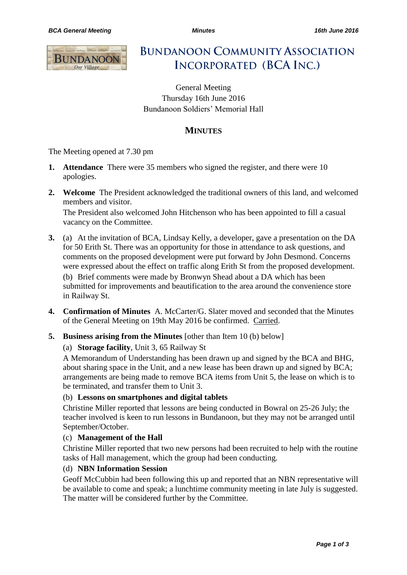

**BUNDANOON COMMUNITY ASSOCIATION INCORPORATED (BCA INC.)** 

General Meeting Thursday 16th June 2016 Bundanoon Soldiers' Memorial Hall

# **MINUTES**

The Meeting opened at 7.30 pm

- **1. Attendance** There were 35 members who signed the register, and there were 10 apologies.
- **2. Welcome** The President acknowledged the traditional owners of this land, and welcomed members and visitor. The President also welcomed John Hitchenson who has been appointed to fill a casual vacancy on the Committee.
- **3.** (a) At the invitation of BCA, Lindsay Kelly, a developer, gave a presentation on the DA for 50 Erith St. There was an opportunity for those in attendance to ask questions, and comments on the proposed development were put forward by John Desmond. Concerns were expressed about the effect on traffic along Erith St from the proposed development. (b) Brief comments were made by Bronwyn Shead about a DA which has been submitted for improvements and beautification to the area around the convenience store in Railway St.
- **4. Confirmation of Minutes** A. McCarter/G. Slater moved and seconded that the Minutes of the General Meeting on 19th May 2016 be confirmed. Carried.
- **5. Business arising from the Minutes** [other than Item 10 (b) below]

#### (a) **Storage facility**, Unit 3, 65 Railway St

A Memorandum of Understanding has been drawn up and signed by the BCA and BHG, about sharing space in the Unit, and a new lease has been drawn up and signed by BCA; arrangements are being made to remove BCA items from Unit 5, the lease on which is to be terminated, and transfer them to Unit 3.

#### (b) **Lessons on smartphones and digital tablets**

Christine Miller reported that lessons are being conducted in Bowral on 25-26 July; the teacher involved is keen to run lessons in Bundanoon, but they may not be arranged until September/October.

#### (c) **Management of the Hall**

Christine Miller reported that two new persons had been recruited to help with the routine tasks of Hall management, which the group had been conducting.

### (d) **NBN Information Session**

Geoff McCubbin had been following this up and reported that an NBN representative will be available to come and speak; a lunchtime community meeting in late July is suggested. The matter will be considered further by the Committee.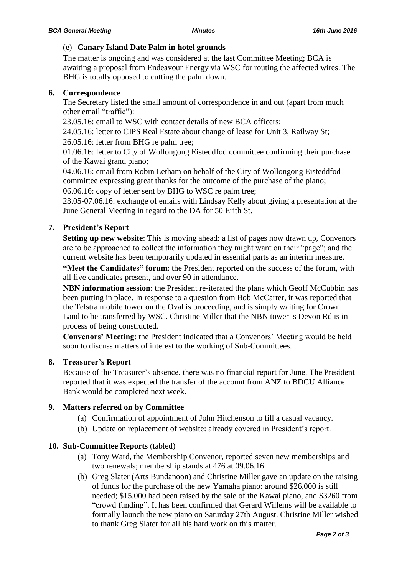### (e) **Canary Island Date Palm in hotel grounds**

The matter is ongoing and was considered at the last Committee Meeting; BCA is awaiting a proposal from Endeavour Energy via WSC for routing the affected wires. The BHG is totally opposed to cutting the palm down.

#### **6. Correspondence**

The Secretary listed the small amount of correspondence in and out (apart from much other email "traffic"):

23.05.16: email to WSC with contact details of new BCA officers;

24.05.16: letter to CIPS Real Estate about change of lease for Unit 3, Railway St;

26.05.16: letter from BHG re palm tree;

01.06.16: letter to City of Wollongong Eisteddfod committee confirming their purchase of the Kawai grand piano;

04.06.16: email from Robin Letham on behalf of the City of Wollongong Eisteddfod committee expressing great thanks for the outcome of the purchase of the piano; 06.06.16: copy of letter sent by BHG to WSC re palm tree;

23.05-07.06.16: exchange of emails with Lindsay Kelly about giving a presentation at the June General Meeting in regard to the DA for 50 Erith St.

### **7. President's Report**

**Setting up new website**: This is moving ahead: a list of pages now drawn up, Convenors are to be approached to collect the information they might want on their "page"; and the current website has been temporarily updated in essential parts as an interim measure.

**"Meet the Candidates" forum**: the President reported on the success of the forum, with all five candidates present, and over 90 in attendance.

**NBN information session:** the President re-iterated the plans which Geoff McCubbin has been putting in place. In response to a question from Bob McCarter, it was reported that the Telstra mobile tower on the Oval is proceeding, and is simply waiting for Crown Land to be transferred by WSC. Christine Miller that the NBN tower is Devon Rd is in process of being constructed.

**Convenors' Meeting**: the President indicated that a Convenors' Meeting would be held soon to discuss matters of interest to the working of Sub-Committees.

### **8. Treasurer's Report**

Because of the Treasurer's absence, there was no financial report for June. The President reported that it was expected the transfer of the account from ANZ to BDCU Alliance Bank would be completed next week.

### **9. Matters referred on by Committee**

- (a) Confirmation of appointment of John Hitchenson to fill a casual vacancy.
- (b) Update on replacement of website: already covered in President's report.

### **10. Sub-Committee Reports** (tabled)

- (a) Tony Ward, the Membership Convenor, reported seven new memberships and two renewals; membership stands at 476 at 09.06.16.
- (b) Greg Slater (Arts Bundanoon) and Christine Miller gave an update on the raising of funds for the purchase of the new Yamaha piano: around \$26,000 is still needed; \$15,000 had been raised by the sale of the Kawai piano, and \$3260 from "crowd funding". It has been confirmed that Gerard Willems will be available to formally launch the new piano on Saturday 27th August. Christine Miller wished to thank Greg Slater for all his hard work on this matter.